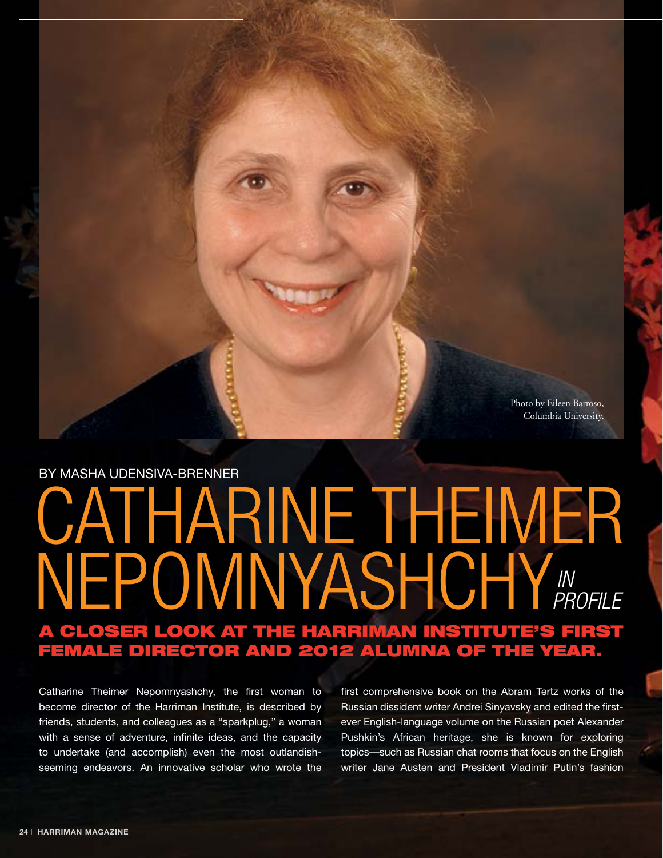Photo by Eileen Barroso, Columbia University.

## ATHARINE THEIMER Nepomnyashchy **A CLOSER LOOK AT THE HARRIMAN INSTITUTE'S FIRS** female director and 2012 Alumna of the Year. By Masha Udensiva-Brenner  *in Profile*

Catharine Theimer Nepomnyashchy, the first woman to become director of the Harriman Institute, is described by friends, students, and colleagues as a "sparkplug," a woman with a sense of adventure, infinite ideas, and the capacity to undertake (and accomplish) even the most outlandishseeming endeavors. An innovative scholar who wrote the

first comprehensive book on the Abram Tertz works of the Russian dissident writer Andrei Sinyavsky and edited the firstever English-language volume on the Russian poet Alexander Pushkin's African heritage, she is known for exploring topics—such as Russian chat rooms that focus on the English writer Jane Austen and President Vladimir Putin's fashion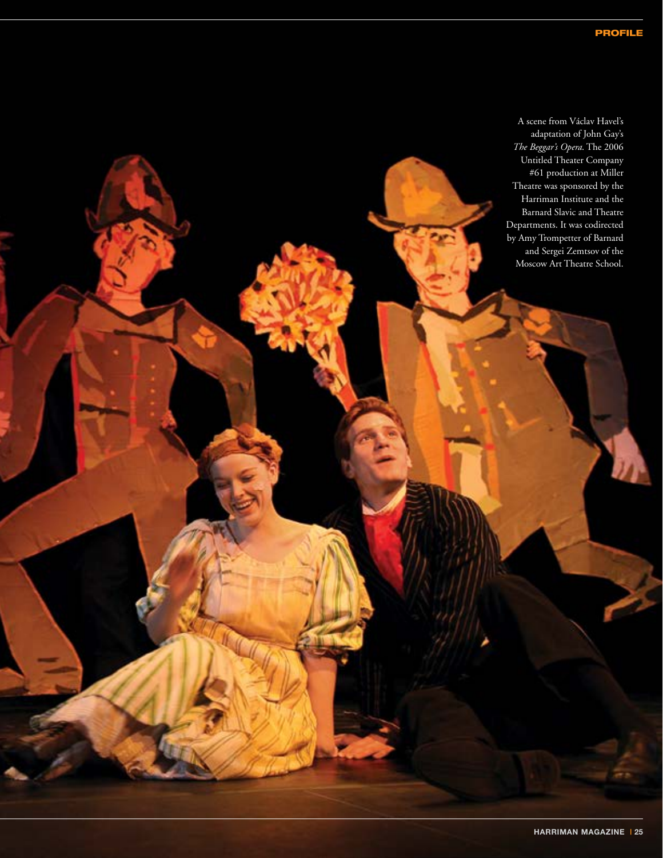A scene from Václav Havel's adaptation of John Gay's *The Beggar's Opera*. The 2006 Untitled Theater Company #61 production at Miller Theatre was sponsored by the Harriman Institute and the Barnard Slavic and Theatre Departments. It was codirected by Amy Trompetter of Barnard and Sergei Zemtsov of the Moscow Art Theatre School.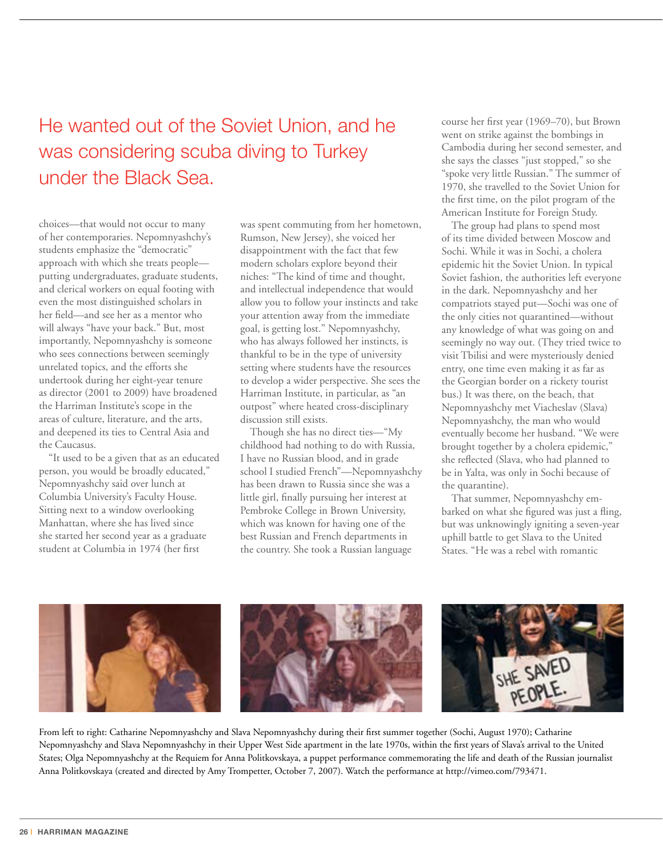He wanted out of the Soviet Union, and he was considering scuba diving to Turkey under the Black Sea.

choices—that would not occur to many of her contemporaries. Nepomnyashchy's students emphasize the "democratic" approach with which she treats people putting undergraduates, graduate students, and clerical workers on equal footing with even the most distinguished scholars in her field—and see her as a mentor who will always "have your back." But, most importantly, Nepomnyashchy is someone who sees connections between seemingly unrelated topics, and the efforts she undertook during her eight-year tenure as director (2001 to 2009) have broadened the Harriman Institute's scope in the areas of culture, literature, and the arts, and deepened its ties to Central Asia and the Caucasus.

"It used to be a given that as an educated person, you would be broadly educated," Nepomnyashchy said over lunch at Columbia University's Faculty House. Sitting next to a window overlooking Manhattan, where she has lived since she started her second year as a graduate student at Columbia in 1974 (her first

was spent commuting from her hometown, Rumson, New Jersey), she voiced her disappointment with the fact that few modern scholars explore beyond their niches: "The kind of time and thought, and intellectual independence that would allow you to follow your instincts and take your attention away from the immediate goal, is getting lost." Nepomnyashchy, who has always followed her instincts, is thankful to be in the type of university setting where students have the resources to develop a wider perspective. She sees the Harriman Institute, in particular, as "an outpost" where heated cross-disciplinary discussion still exists.

Though she has no direct ties—"My childhood had nothing to do with Russia, I have no Russian blood, and in grade school I studied French"—Nepomnyashchy has been drawn to Russia since she was a little girl, finally pursuing her interest at Pembroke College in Brown University, which was known for having one of the best Russian and French departments in the country. She took a Russian language

course her first year (1969–70), but Brown went on strike against the bombings in Cambodia during her second semester, and she says the classes "just stopped," so she "spoke very little Russian." The summer of 1970, she travelled to the Soviet Union for the first time, on the pilot program of the American Institute for Foreign Study.

The group had plans to spend most of its time divided between Moscow and Sochi. While it was in Sochi, a cholera epidemic hit the Soviet Union. In typical Soviet fashion, the authorities left everyone in the dark. Nepomnyashchy and her compatriots stayed put—Sochi was one of the only cities not quarantined—without any knowledge of what was going on and seemingly no way out. (They tried twice to visit Tbilisi and were mysteriously denied entry, one time even making it as far as the Georgian border on a rickety tourist bus.) It was there, on the beach, that Nepomnyashchy met Viacheslav (Slava) Nepomnyashchy, the man who would eventually become her husband. "We were brought together by a cholera epidemic," she reflected (Slava, who had planned to be in Yalta, was only in Sochi because of the quarantine).

That summer, Nepomnyashchy embarked on what she figured was just a fling, but was unknowingly igniting a seven-year uphill battle to get Slava to the United States. "He was a rebel with romantic



From left to right: Catharine Nepomnyashchy and Slava Nepomnyashchy during their first summer together (Sochi, August 1970); Catharine Nepomnyashchy and Slava Nepomnyashchy in their Upper West Side apartment in the late 1970s, within the first years of Slava's arrival to the United States; Olga Nepomnyashchy at the Requiem for Anna Politkovskaya, a puppet performance commemorating the life and death of the Russian journalist Anna Politkovskaya (created and directed by Amy Trompetter, October 7, 2007). Watch the performance at http://vimeo.com/793471.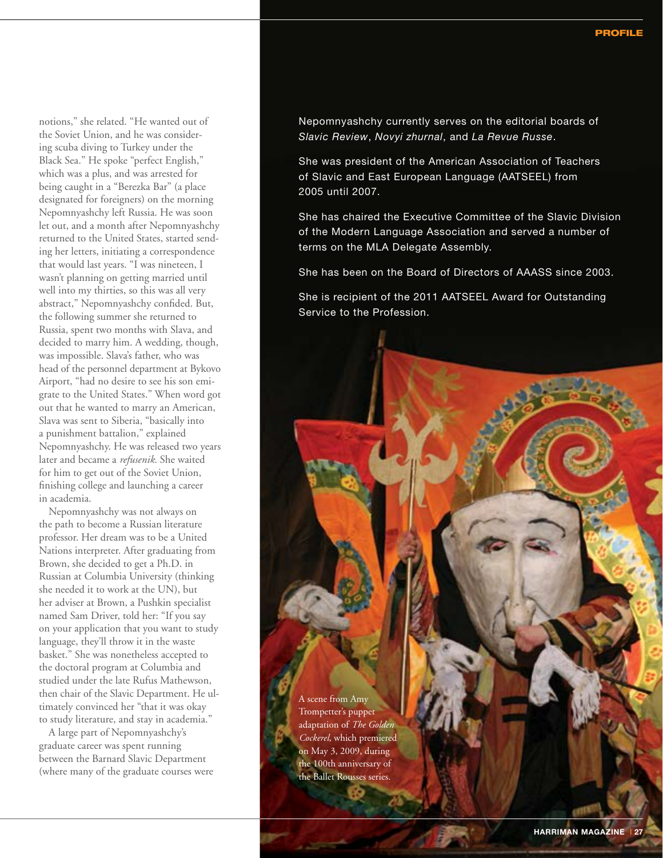notions," she related. "He wanted out of the Soviet Union, and he was considering scuba diving to Turkey under the Black Sea." He spoke "perfect English," which was a plus, and was arrested for being caught in a "Berezka Bar" (a place designated for foreigners) on the morning Nepomnyashchy left Russia. He was soon let out, and a month after Nepomnyashchy returned to the United States, started sending her letters, initiating a correspondence that would last years. "I was nineteen, I wasn't planning on getting married until well into my thirties, so this was all very abstract," Nepomnyashchy confided. But, the following summer she returned to Russia, spent two months with Slava, and decided to marry him. A wedding, though, was impossible. Slava's father, who was head of the personnel department at Bykovo Airport, "had no desire to see his son emigrate to the United States." When word got out that he wanted to marry an American, Slava was sent to Siberia, "basically into a punishment battalion," explained Nepomnyashchy. He was released two years later and became a *refusenik*. She waited for him to get out of the Soviet Union, finishing college and launching a career in academia.

Nepomnyashchy was not always on the path to become a Russian literature professor. Her dream was to be a United Nations interpreter. After graduating from Brown, she decided to get a Ph.D. in Russian at Columbia University (thinking she needed it to work at the UN), but her adviser at Brown, a Pushkin specialist named Sam Driver, told her: "If you say on your application that you want to study language, they'll throw it in the waste basket." She was nonetheless accepted to the doctoral program at Columbia and studied under the late Rufus Mathewson, then chair of the Slavic Department. He ultimately convinced her "that it was okay to study literature, and stay in academia."

A large part of Nepomnyashchy's graduate career was spent running between the Barnard Slavic Department (where many of the graduate courses were Nepomnyashchy currently serves on the editorial boards of *Slavic Review*, *Novyi zhurnal*, and *La Revue Russe*.

She was president of the American Association of Teachers of Slavic and East European Language (AATSEEL) from 2005 until 2007.

She has chaired the Executive Committee of the Slavic Division of the Modern Language Association and served a number of terms on the MLA Delegate Assembly.

She has been on the Board of Directors of AAASS since 2003.

She is recipient of the 2011 AATSEEL Award for Outstanding Service to the Profession.

A scene from Amy Trompetter's puppet adaptation of *The Golden Cockerel*, which premiered on May 3, 2009, during the 100th anniversary of the Ballet Rousses series.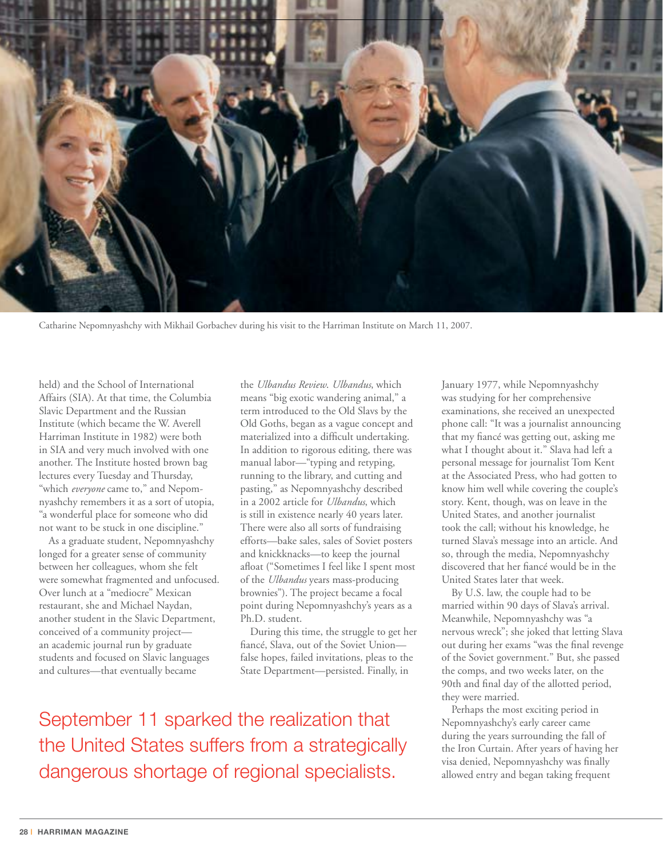

Catharine Nepomnyashchy with Mikhail Gorbachev during his visit to the Harriman Institute on March 11, 2007.

held) and the School of International Affairs (SIA). At that time, the Columbia Slavic Department and the Russian Institute (which became the W. Averell Harriman Institute in 1982) were both in SIA and very much involved with one another. The Institute hosted brown bag lectures every Tuesday and Thursday, "which *everyone* came to," and Nepomnyashchy remembers it as a sort of utopia, "a wonderful place for someone who did not want to be stuck in one discipline."

As a graduate student, Nepomnyashchy longed for a greater sense of community between her colleagues, whom she felt were somewhat fragmented and unfocused. Over lunch at a "mediocre" Mexican restaurant, she and Michael Naydan, another student in the Slavic Department, conceived of a community project an academic journal run by graduate students and focused on Slavic languages and cultures—that eventually became

the *Ulbandus Review*. *Ulbandus*, which means "big exotic wandering animal," a term introduced to the Old Slavs by the Old Goths, began as a vague concept and materialized into a difficult undertaking. In addition to rigorous editing, there was manual labor—"typing and retyping, running to the library, and cutting and pasting," as Nepomnyashchy described in a 2002 article for *Ulbandus*, which is still in existence nearly 40 years later. There were also all sorts of fundraising efforts—bake sales, sales of Soviet posters and knickknacks—to keep the journal afloat ("Sometimes I feel like I spent most of the *Ulbandus* years mass-producing brownies"). The project became a focal point during Nepomnyashchy's years as a Ph.D. student.

During this time, the struggle to get her fiancé, Slava, out of the Soviet Union false hopes, failed invitations, pleas to the State Department—persisted. Finally, in

September 11 sparked the realization that the United States suffers from a strategically dangerous shortage of regional specialists.

January 1977, while Nepomnyashchy was studying for her comprehensive examinations, she received an unexpected phone call: "It was a journalist announcing that my fiancé was getting out, asking me what I thought about it." Slava had left a personal message for journalist Tom Kent at the Associated Press, who had gotten to know him well while covering the couple's story. Kent, though, was on leave in the United States, and another journalist took the call; without his knowledge, he turned Slava's message into an article. And so, through the media, Nepomnyashchy discovered that her fiancé would be in the United States later that week.

By U.S. law, the couple had to be married within 90 days of Slava's arrival. Meanwhile, Nepomnyashchy was "a nervous wreck"; she joked that letting Slava out during her exams "was the final revenge of the Soviet government." But, she passed the comps, and two weeks later, on the 90th and final day of the allotted period, they were married.

Perhaps the most exciting period in Nepomnyashchy's early career came during the years surrounding the fall of the Iron Curtain. After years of having her visa denied, Nepomnyashchy was finally allowed entry and began taking frequent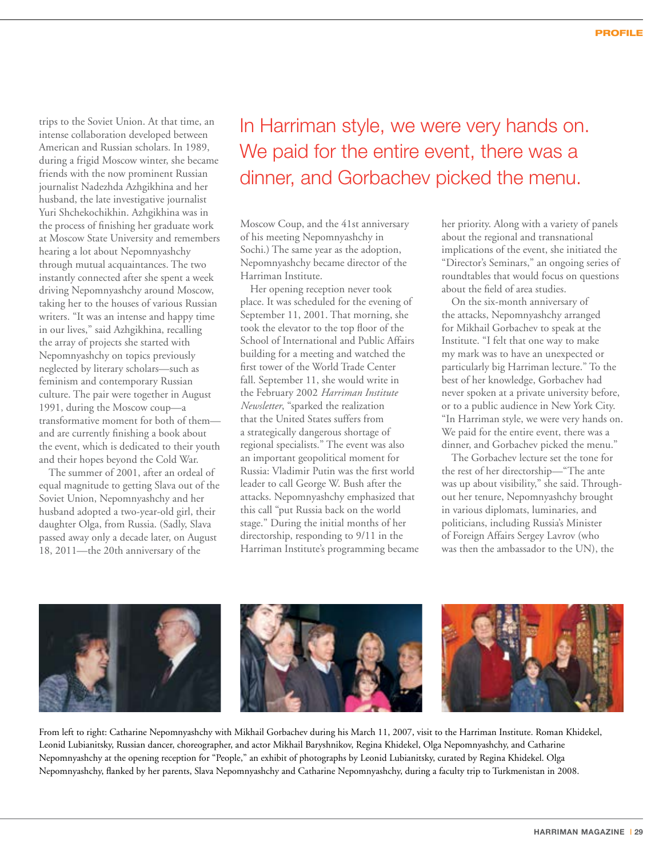trips to the Soviet Union. At that time, an intense collaboration developed between American and Russian scholars. In 1989, during a frigid Moscow winter, she became friends with the now prominent Russian journalist Nadezhda Azhgikhina and her husband, the late investigative journalist Yuri Shchekochikhin. Azhgikhina was in the process of finishing her graduate work at Moscow State University and remembers hearing a lot about Nepomnyashchy through mutual acquaintances. The two instantly connected after she spent a week driving Nepomnyashchy around Moscow, taking her to the houses of various Russian writers. "It was an intense and happy time in our lives," said Azhgikhina, recalling the array of projects she started with Nepomnyashchy on topics previously neglected by literary scholars—such as feminism and contemporary Russian culture. The pair were together in August 1991, during the Moscow coup—a transformative moment for both of them and are currently finishing a book about the event, which is dedicated to their youth and their hopes beyond the Cold War.

The summer of 2001, after an ordeal of equal magnitude to getting Slava out of the Soviet Union, Nepomnyashchy and her husband adopted a two-year-old girl, their daughter Olga, from Russia. (Sadly, Slava passed away only a decade later, on August 18, 2011—the 20th anniversary of the

## In Harriman style, we were very hands on. We paid for the entire event, there was a dinner, and Gorbachev picked the menu.

Moscow Coup, and the 41st anniversary of his meeting Nepomnyashchy in Sochi.) The same year as the adoption, Nepomnyashchy became director of the Harriman Institute.

Her opening reception never took place. It was scheduled for the evening of September 11, 2001. That morning, she took the elevator to the top floor of the School of International and Public Affairs building for a meeting and watched the first tower of the World Trade Center fall. September 11, she would write in the February 2002 *Harriman Institute Newsletter*, "sparked the realization that the United States suffers from a strategically dangerous shortage of regional specialists." The event was also an important geopolitical moment for Russia: Vladimir Putin was the first world leader to call George W. Bush after the attacks. Nepomnyashchy emphasized that this call "put Russia back on the world stage." During the initial months of her directorship, responding to 9/11 in the Harriman Institute's programming became her priority. Along with a variety of panels about the regional and transnational implications of the event, she initiated the "Director's Seminars," an ongoing series of roundtables that would focus on questions about the field of area studies.

On the six-month anniversary of the attacks, Nepomnyashchy arranged for Mikhail Gorbachev to speak at the Institute. "I felt that one way to make my mark was to have an unexpected or particularly big Harriman lecture." To the best of her knowledge, Gorbachev had never spoken at a private university before, or to a public audience in New York City. "In Harriman style, we were very hands on. We paid for the entire event, there was a dinner, and Gorbachev picked the menu."

The Gorbachev lecture set the tone for the rest of her directorship—"The ante was up about visibility," she said. Throughout her tenure, Nepomnyashchy brought in various diplomats, luminaries, and politicians, including Russia's Minister of Foreign Affairs Sergey Lavrov (who was then the ambassador to the UN), the



From left to right: Catharine Nepomnyashchy with Mikhail Gorbachev during his March 11, 2007, visit to the Harriman Institute. Roman Khidekel, Leonid Lubianitsky, Russian dancer, choreographer, and actor Mikhail Baryshnikov, Regina Khidekel, Olga Nepomnyashchy, and Catharine Nepomnyashchy at the opening reception for "People," an exhibit of photographs by Leonid Lubianitsky, curated by Regina Khidekel. Olga Nepomnyashchy, flanked by her parents, Slava Nepomnyashchy and Catharine Nepomnyashchy, during a faculty trip to Turkmenistan in 2008.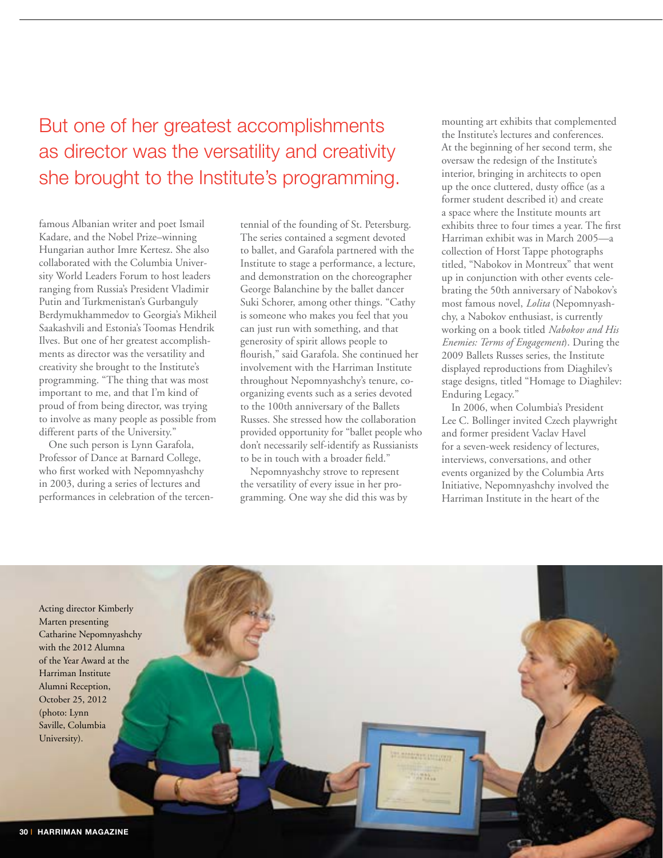But one of her greatest accomplishments as director was the versatility and creativity she brought to the Institute's programming.

famous Albanian writer and poet Ismail Kadare, and the Nobel Prize–winning Hungarian author Imre Kertesz. She also collaborated with the Columbia University World Leaders Forum to host leaders ranging from Russia's President Vladimir Putin and Turkmenistan's Gurbanguly Berdymukhammedov to Georgia's Mikheil Saakashvili and Estonia's Toomas Hendrik Ilves. But one of her greatest accomplishments as director was the versatility and creativity she brought to the Institute's programming. "The thing that was most important to me, and that I'm kind of proud of from being director, was trying to involve as many people as possible from different parts of the University."

One such person is Lynn Garafola, Professor of Dance at Barnard College, who first worked with Nepomnyashchy in 2003, during a series of lectures and performances in celebration of the tercentennial of the founding of St. Petersburg. The series contained a segment devoted to ballet, and Garafola partnered with the Institute to stage a performance, a lecture, and demonstration on the choreographer George Balanchine by the ballet dancer Suki Schorer, among other things. "Cathy is someone who makes you feel that you can just run with something, and that generosity of spirit allows people to flourish," said Garafola. She continued her involvement with the Harriman Institute throughout Nepomnyashchy's tenure, coorganizing events such as a series devoted to the 100th anniversary of the Ballets Russes. She stressed how the collaboration provided opportunity for "ballet people who don't necessarily self-identify as Russianists to be in touch with a broader field."

Nepomnyashchy strove to represent the versatility of every issue in her programming. One way she did this was by mounting art exhibits that complemented the Institute's lectures and conferences. At the beginning of her second term, she oversaw the redesign of the Institute's interior, bringing in architects to open up the once cluttered, dusty office (as a former student described it) and create a space where the Institute mounts art exhibits three to four times a year. The first Harriman exhibit was in March 2005—a collection of Horst Tappe photographs titled, "Nabokov in Montreux" that went up in conjunction with other events celebrating the 50th anniversary of Nabokov's most famous novel, *Lolita* (Nepomnyashchy, a Nabokov enthusiast, is currently working on a book titled *Nabokov and His Enemies: Terms of Engagement*). During the 2009 Ballets Russes series, the Institute displayed reproductions from Diaghilev's stage designs, titled "Homage to Diaghilev: Enduring Legacy."

In 2006, when Columbia's President Lee C. Bollinger invited Czech playwright and former president Vaclav Havel for a seven-week residency of lectures, interviews, conversations, and other events organized by the Columbia Arts Initiative, Nepomnyashchy involved the Harriman Institute in the heart of the

Acting director Kimberly Marten presenting Catharine Nepomnyashchy with the 2012 Alumna of the Year Award at the Harriman Institute Alumni Reception, October 25, 2012 (photo: Lynn Saville, Columbia University).